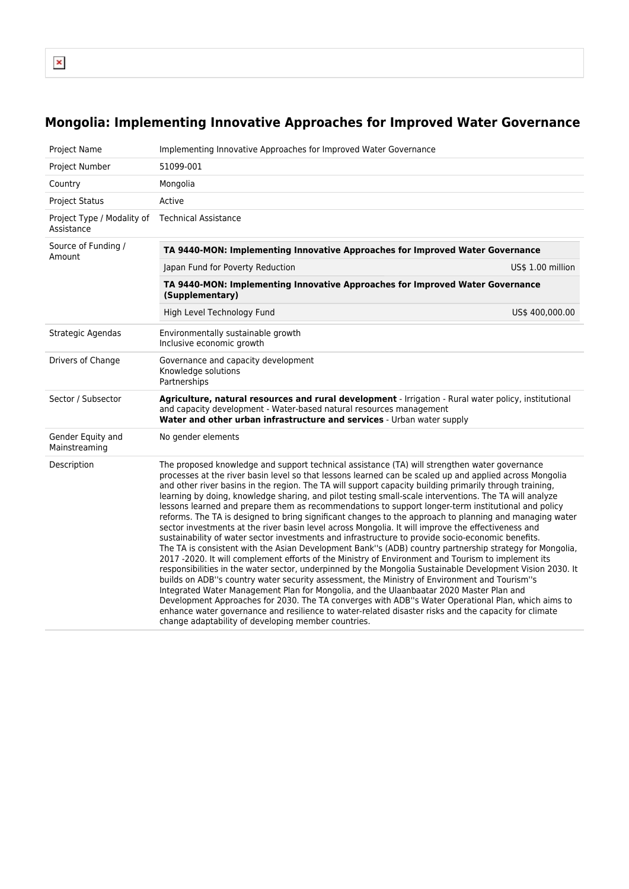$\pmb{\times}$ 

## **Mongolia: Implementing Innovative Approaches for Improved Water Governance**

| <b>Project Name</b>                      | Implementing Innovative Approaches for Improved Water Governance                                                                                                                                                                                                                                                                                                                                                                                                                                                                                                                                                                                                                                                                                                                                                                                                                                                                                                                                                                                                                                                                                                                                                                                                                                                                                                                                                                                                                                                                                                                                                                                         |                   |  |  |  |
|------------------------------------------|----------------------------------------------------------------------------------------------------------------------------------------------------------------------------------------------------------------------------------------------------------------------------------------------------------------------------------------------------------------------------------------------------------------------------------------------------------------------------------------------------------------------------------------------------------------------------------------------------------------------------------------------------------------------------------------------------------------------------------------------------------------------------------------------------------------------------------------------------------------------------------------------------------------------------------------------------------------------------------------------------------------------------------------------------------------------------------------------------------------------------------------------------------------------------------------------------------------------------------------------------------------------------------------------------------------------------------------------------------------------------------------------------------------------------------------------------------------------------------------------------------------------------------------------------------------------------------------------------------------------------------------------------------|-------------------|--|--|--|
| Project Number                           | 51099-001                                                                                                                                                                                                                                                                                                                                                                                                                                                                                                                                                                                                                                                                                                                                                                                                                                                                                                                                                                                                                                                                                                                                                                                                                                                                                                                                                                                                                                                                                                                                                                                                                                                |                   |  |  |  |
| Country                                  | Mongolia                                                                                                                                                                                                                                                                                                                                                                                                                                                                                                                                                                                                                                                                                                                                                                                                                                                                                                                                                                                                                                                                                                                                                                                                                                                                                                                                                                                                                                                                                                                                                                                                                                                 |                   |  |  |  |
| <b>Project Status</b>                    | Active                                                                                                                                                                                                                                                                                                                                                                                                                                                                                                                                                                                                                                                                                                                                                                                                                                                                                                                                                                                                                                                                                                                                                                                                                                                                                                                                                                                                                                                                                                                                                                                                                                                   |                   |  |  |  |
| Project Type / Modality of<br>Assistance | <b>Technical Assistance</b>                                                                                                                                                                                                                                                                                                                                                                                                                                                                                                                                                                                                                                                                                                                                                                                                                                                                                                                                                                                                                                                                                                                                                                                                                                                                                                                                                                                                                                                                                                                                                                                                                              |                   |  |  |  |
| Source of Funding /<br>Amount            | TA 9440-MON: Implementing Innovative Approaches for Improved Water Governance                                                                                                                                                                                                                                                                                                                                                                                                                                                                                                                                                                                                                                                                                                                                                                                                                                                                                                                                                                                                                                                                                                                                                                                                                                                                                                                                                                                                                                                                                                                                                                            |                   |  |  |  |
|                                          | Japan Fund for Poverty Reduction                                                                                                                                                                                                                                                                                                                                                                                                                                                                                                                                                                                                                                                                                                                                                                                                                                                                                                                                                                                                                                                                                                                                                                                                                                                                                                                                                                                                                                                                                                                                                                                                                         | US\$ 1.00 million |  |  |  |
|                                          | TA 9440-MON: Implementing Innovative Approaches for Improved Water Governance<br>(Supplementary)                                                                                                                                                                                                                                                                                                                                                                                                                                                                                                                                                                                                                                                                                                                                                                                                                                                                                                                                                                                                                                                                                                                                                                                                                                                                                                                                                                                                                                                                                                                                                         |                   |  |  |  |
|                                          | High Level Technology Fund                                                                                                                                                                                                                                                                                                                                                                                                                                                                                                                                                                                                                                                                                                                                                                                                                                                                                                                                                                                                                                                                                                                                                                                                                                                                                                                                                                                                                                                                                                                                                                                                                               | US\$ 400,000.00   |  |  |  |
| Strategic Agendas                        | Environmentally sustainable growth<br>Inclusive economic growth                                                                                                                                                                                                                                                                                                                                                                                                                                                                                                                                                                                                                                                                                                                                                                                                                                                                                                                                                                                                                                                                                                                                                                                                                                                                                                                                                                                                                                                                                                                                                                                          |                   |  |  |  |
| Drivers of Change                        | Governance and capacity development<br>Knowledge solutions<br>Partnerships                                                                                                                                                                                                                                                                                                                                                                                                                                                                                                                                                                                                                                                                                                                                                                                                                                                                                                                                                                                                                                                                                                                                                                                                                                                                                                                                                                                                                                                                                                                                                                               |                   |  |  |  |
| Sector / Subsector                       | Agriculture, natural resources and rural development - Irrigation - Rural water policy, institutional<br>and capacity development - Water-based natural resources management<br>Water and other urban infrastructure and services - Urban water supply                                                                                                                                                                                                                                                                                                                                                                                                                                                                                                                                                                                                                                                                                                                                                                                                                                                                                                                                                                                                                                                                                                                                                                                                                                                                                                                                                                                                   |                   |  |  |  |
| Gender Equity and<br>Mainstreaming       | No gender elements                                                                                                                                                                                                                                                                                                                                                                                                                                                                                                                                                                                                                                                                                                                                                                                                                                                                                                                                                                                                                                                                                                                                                                                                                                                                                                                                                                                                                                                                                                                                                                                                                                       |                   |  |  |  |
| Description                              | The proposed knowledge and support technical assistance (TA) will strengthen water governance<br>processes at the river basin level so that lessons learned can be scaled up and applied across Mongolia<br>and other river basins in the region. The TA will support capacity building primarily through training,<br>learning by doing, knowledge sharing, and pilot testing small-scale interventions. The TA will analyze<br>lessons learned and prepare them as recommendations to support longer-term institutional and policy<br>reforms. The TA is designed to bring significant changes to the approach to planning and managing water<br>sector investments at the river basin level across Mongolia. It will improve the effectiveness and<br>sustainability of water sector investments and infrastructure to provide socio-economic benefits.<br>The TA is consistent with the Asian Development Bank"s (ADB) country partnership strategy for Mongolia,<br>2017 -2020. It will complement efforts of the Ministry of Environment and Tourism to implement its<br>responsibilities in the water sector, underpinned by the Mongolia Sustainable Development Vision 2030. It<br>builds on ADB"s country water security assessment, the Ministry of Environment and Tourism"s<br>Integrated Water Management Plan for Mongolia, and the Ulaanbaatar 2020 Master Plan and<br>Development Approaches for 2030. The TA converges with ADB"s Water Operational Plan, which aims to<br>enhance water governance and resilience to water-related disaster risks and the capacity for climate<br>change adaptability of developing member countries. |                   |  |  |  |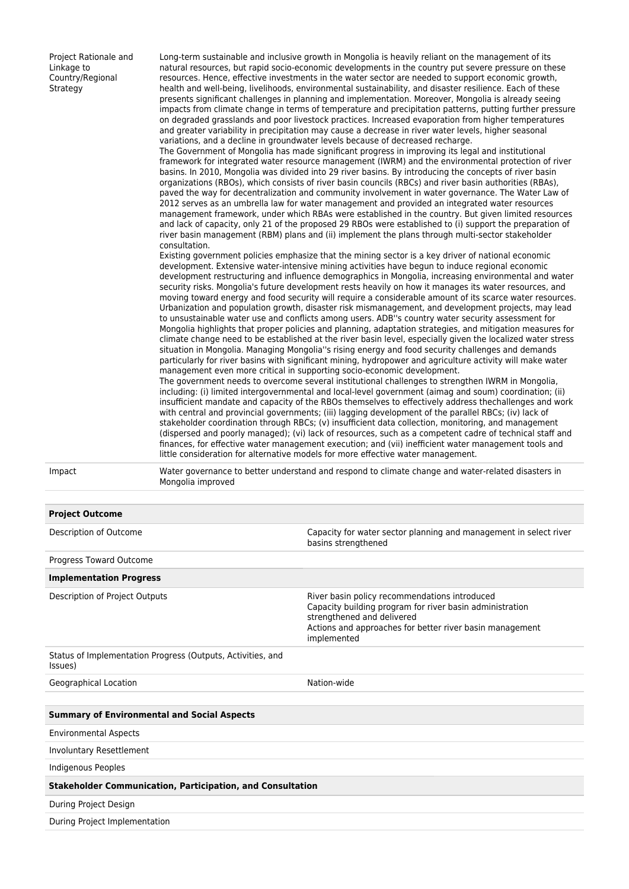Project Rationale and Linkage to Country/Regional **Strategy** 

Long-term sustainable and inclusive growth in Mongolia is heavily reliant on the management of its natural resources, but rapid socio-economic developments in the country put severe pressure on these resources. Hence, effective investments in the water sector are needed to support economic growth, health and well-being, livelihoods, environmental sustainability, and disaster resilience. Each of these presents significant challenges in planning and implementation. Moreover, Mongolia is already seeing impacts from climate change in terms of temperature and precipitation patterns, putting further pressure on degraded grasslands and poor livestock practices. Increased evaporation from higher temperatures and greater variability in precipitation may cause a decrease in river water levels, higher seasonal variations, and a decline in groundwater levels because of decreased recharge.

The Government of Mongolia has made significant progress in improving its legal and institutional framework for integrated water resource management (IWRM) and the environmental protection of river basins. In 2010, Mongolia was divided into 29 river basins. By introducing the concepts of river basin organizations (RBOs), which consists of river basin councils (RBCs) and river basin authorities (RBAs), paved the way for decentralization and community involvement in water governance. The Water Law of 2012 serves as an umbrella law for water management and provided an integrated water resources management framework, under which RBAs were established in the country. But given limited resources and lack of capacity, only 21 of the proposed 29 RBOs were established to (i) support the preparation of river basin management (RBM) plans and (ii) implement the plans through multi-sector stakeholder consultation.

Existing government policies emphasize that the mining sector is a key driver of national economic development. Extensive water-intensive mining activities have begun to induce regional economic development restructuring and influence demographics in Mongolia, increasing environmental and water security risks. Mongolia's future development rests heavily on how it manages its water resources, and moving toward energy and food security will require a considerable amount of its scarce water resources. Urbanization and population growth, disaster risk mismanagement, and development projects, may lead to unsustainable water use and conflicts among users. ADB''s country water security assessment for Mongolia highlights that proper policies and planning, adaptation strategies, and mitigation measures for climate change need to be established at the river basin level, especially given the localized water stress situation in Mongolia. Managing Mongolia''s rising energy and food security challenges and demands particularly for river basins with significant mining, hydropower and agriculture activity will make water management even more critical in supporting socio-economic development.

The government needs to overcome several institutional challenges to strengthen IWRM in Mongolia, including: (i) limited intergovernmental and local-level government (aimag and soum) coordination; (ii) insufficient mandate and capacity of the RBOs themselves to effectively address thechallenges and work with central and provincial governments; (iii) lagging development of the parallel RBCs; (iv) lack of stakeholder coordination through RBCs; (v) insufficient data collection, monitoring, and management (dispersed and poorly managed); (vi) lack of resources, such as a competent cadre of technical staff and finances, for effective water management execution; and (vii) inefficient water management tools and little consideration for alternative models for more effective water management.

**Project Outcome**

Impact Water governance to better understand and respond to climate change and water-related disasters in Mongolia improved

| i i vječe vutevilic                                                    |                                                                                                                                                                                                                    |
|------------------------------------------------------------------------|--------------------------------------------------------------------------------------------------------------------------------------------------------------------------------------------------------------------|
| Description of Outcome                                                 | Capacity for water sector planning and management in select river<br>basins strengthened                                                                                                                           |
| Progress Toward Outcome                                                |                                                                                                                                                                                                                    |
| <b>Implementation Progress</b>                                         |                                                                                                                                                                                                                    |
| Description of Project Outputs                                         | River basin policy recommendations introduced<br>Capacity building program for river basin administration<br>strengthened and delivered<br>Actions and approaches for better river basin management<br>implemented |
| Status of Implementation Progress (Outputs, Activities, and<br>Issues) |                                                                                                                                                                                                                    |
| Geographical Location                                                  | Nation-wide                                                                                                                                                                                                        |
|                                                                        |                                                                                                                                                                                                                    |
| <b>Summary of Environmental and Social Aspects</b>                     |                                                                                                                                                                                                                    |
| <b>Environmental Aspects</b>                                           |                                                                                                                                                                                                                    |
| Involuntary Resettlement                                               |                                                                                                                                                                                                                    |
| Indigenous Peoples                                                     |                                                                                                                                                                                                                    |
| <b>Stakeholder Communication, Participation, and Consultation</b>      |                                                                                                                                                                                                                    |
| During Project Design                                                  |                                                                                                                                                                                                                    |
| During Project Implementation                                          |                                                                                                                                                                                                                    |